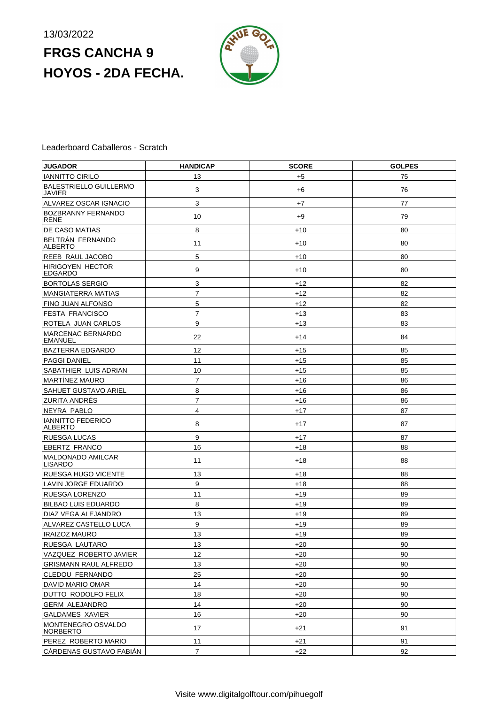# **FRGS CANCHA 9 HOYOS - 2DA FECHA.**



### Leaderboard Caballeros - Scratch

| <b>JUGADOR</b>                            | <b>HANDICAP</b> | <b>SCORE</b> | <b>GOLPES</b> |
|-------------------------------------------|-----------------|--------------|---------------|
| <b>IANNITTO CIRILO</b>                    | 13              | $+5$         | 75            |
| BALESTRIELLO GUILLERMO<br><b>JAVIER</b>   | 3               | $+6$         | 76            |
| ALVAREZ OSCAR IGNACIO                     | $\mathbf{3}$    | $+7$         | 77            |
| BOZBRANNY FERNANDO<br><b>RENE</b>         | 10              | $+9$         | 79            |
| DE CASO MATIAS                            | 8               | $+10$        | 80            |
| BELTRAN FERNANDO<br>ALBERTO               | 11              | $+10$        | 80            |
| REEB RAUL JACOBO                          | 5               | $+10$        | 80            |
| <b>HIRIGOYEN HECTOR</b><br><b>EDGARDO</b> | 9               | $+10$        | 80            |
| <b>BORTOLAS SERGIO</b>                    | 3               | $+12$        | 82            |
| <b>MANGIATERRA MATIAS</b>                 | $\overline{7}$  | $+12$        | 82            |
| FINO JUAN ALFONSO                         | 5               | $+12$        | 82            |
| <b>FESTA FRANCISCO</b>                    | $\overline{7}$  | $+13$        | 83            |
| ROTELA JUAN CARLOS                        | 9               | $+13$        | 83            |
| MARCENAC BERNARDO<br><b>EMANUEL</b>       | 22              | $+14$        | 84            |
| <b>BAZTERRA EDGARDO</b>                   | 12              | $+15$        | 85            |
| <b>PAGGI DANIEL</b>                       | 11              | $+15$        | 85            |
| SABATHIER LUIS ADRIAN                     | 10              | $+15$        | 85            |
| <b>MARTÍNEZ MAURO</b>                     | $\overline{7}$  | $+16$        | 86            |
| <b>SAHUET GUSTAVO ARIEL</b>               | 8               | $+16$        | 86            |
| <b>ZURITA ANDRÉS</b>                      | $\overline{7}$  | $+16$        | 86            |
| NEYRA PABLO                               | 4               | $+17$        | 87            |
| <b>IANNITTO FEDERICO</b><br>ALBERTO       | 8               | $+17$        | 87            |
| <b>RUESGA LUCAS</b>                       | 9               | $+17$        | 87            |
| <b>EBERTZ FRANCO</b>                      | 16              | +18          | 88            |
| MALDONADO AMILCAR<br><b>LISARDO</b>       | 11              | +18          | 88            |
| RUESGA HUGO VICENTE                       | 13              | $+18$        | 88            |
| <b>LAVIN JORGE EDUARDO</b>                | 9               | $+18$        | 88            |
| RUESGA LORENZO                            | 11              | $+19$        | 89            |
| <b>BILBAO LUIS EDUARDO</b>                | 8               | $+19$        | 89            |
| DIAZ VEGA ALEJANDRO                       | 13              | $+19$        | 89            |
| ALVAREZ CASTELLO LUCA                     | 9               | $+19$        | 89            |
| <b>IRAIZOZ MAURO</b>                      | 13              | +19          | 89            |
| RUESGA LAUTARO                            | 13              | +20          | 90            |
| VAZQUEZ ROBERTO JAVIER                    | 12              | $+20$        | 90            |
| GRISMANN RAUL ALFREDO                     | 13              | +20          | 90            |
| CLEDOU FERNANDO                           | 25              | +20          | 90            |
| DAVID MARIO OMAR                          | 14              | +20          | 90            |
| DUTTO RODOLFO FELIX                       | 18              | +20          | 90            |
| <b>GERM ALEJANDRO</b>                     | 14              | +20          | 90            |
| <b>GALDAMES XAVIER</b>                    | 16              | +20          | 90            |
| MONTENEGRO OSVALDO<br><b>NORBERTO</b>     | 17              | $+21$        | 91            |
| PEREZ ROBERTO MARIO                       | 11              | +21          | 91            |
| CÁRDENAS GUSTAVO FABIÁN                   | $\overline{7}$  | $+22$        | 92            |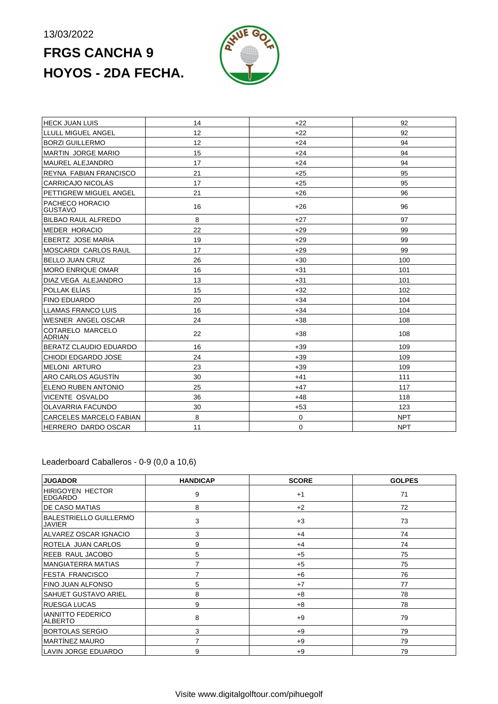# **FRGS CANCHA 9 HOYOS - 2DA FECHA.**



| <b>HECK JUAN LUIS</b>             | 14 | $+22$       | 92         |
|-----------------------------------|----|-------------|------------|
| LLULL MIGUEL ANGEL                | 12 | $+22$       | 92         |
| <b>BORZI GUILLERMO</b>            | 12 | $+24$       | 94         |
| MARTIN JORGE MARIO                | 15 | $+24$       | 94         |
| <b>MAUREL ALEJANDRO</b>           | 17 | $+24$       | 94         |
| REYNA FABIAN FRANCISCO            | 21 | $+25$       | 95         |
| <b>CARRICAJO NICOLÁS</b>          | 17 | $+25$       | 95         |
| PETTIGREW MIGUEL ANGEL            | 21 | $+26$       | 96         |
| PACHECO HORACIO<br><b>GUSTAVO</b> | 16 | $+26$       | 96         |
| <b>BILBAO RAUL ALFREDO</b>        | 8  | $+27$       | 97         |
| <b>MEDER HORACIO</b>              | 22 | $+29$       | 99         |
| EBERTZ JOSE MARIA                 | 19 | $+29$       | 99         |
| MOSCARDI CARLOS RAUL              | 17 | $+29$       | 99         |
| <b>BELLO JUAN CRUZ</b>            | 26 | $+30$       | 100        |
| <b>MORO ENRIQUE OMAR</b>          | 16 | $+31$       | 101        |
| DIAZ VEGA ALEJANDRO               | 13 | $+31$       | 101        |
| POLLAK ELÍAS                      | 15 | $+32$       | 102        |
| <b>FINO EDUARDO</b>               | 20 | $+34$       | 104        |
| <b>LLAMAS FRANCO LUIS</b>         | 16 | $+34$       | 104        |
| WESNER ANGEL OSCAR                | 24 | $+38$       | 108        |
| COTARELO MARCELO<br><b>ADRIAN</b> | 22 | $+38$       | 108        |
| BERATZ CLAUDIO EDUARDO            | 16 | $+39$       | 109        |
| CHIODI EDGARDO JOSE               | 24 | $+39$       | 109        |
| <b>MELONI ARTURO</b>              | 23 | $+39$       | 109        |
| ARO CARLOS AGUSTÍN                | 30 | $+41$       | 111        |
| ELENO RUBEN ANTONIO               | 25 | $+47$       | 117        |
| <b>VICENTE OSVALDO</b>            | 36 | $+48$       | 118        |
| <b>OLAVARRIA FACUNDO</b>          | 30 | $+53$       | 123        |
| CARCELES MARCELO FABIAN           | 8  | $\mathbf 0$ | <b>NPT</b> |
| HERRERO DARDO OSCAR               | 11 | 0           | <b>NPT</b> |

Leaderboard Caballeros - 0-9 (0,0 a 10,6)

| <b>JUGADOR</b>                                 | <b>HANDICAP</b> | <b>SCORE</b> | <b>GOLPES</b> |
|------------------------------------------------|-----------------|--------------|---------------|
| <b>HIRIGOYEN HECTOR</b><br><b>EDGARDO</b>      | 9               | $+1$         | 71            |
| <b>DE CASO MATIAS</b>                          | 8               | $+2$         | 72            |
| <b>BALESTRIELLO GUILLERMO</b><br><b>JAVIER</b> | 3               | $+3$         | 73            |
| ALVAREZ OSCAR IGNACIO                          | 3               | $+4$         | 74            |
| ROTELA JUAN CARLOS                             | 9               | $+4$         | 74            |
| <b>REEB RAUL JACOBO</b>                        | 5               | $+5$         | 75            |
| <b>MANGIATERRA MATIAS</b>                      | $\overline{7}$  | $+5$         | 75            |
| <b>FESTA FRANCISCO</b>                         | 7               | $+6$         | 76            |
| FINO JUAN ALFONSO                              | 5               | $+7$         | 77            |
| <b>SAHUET GUSTAVO ARIEL</b>                    | 8               | $+8$         | 78            |
| <b>RUESGA LUCAS</b>                            | 9               | $+8$         | 78            |
| <b>IANNITTO FEDERICO</b><br> ALBERTO           | 8               | $+9$         | 79            |
| <b>BORTOLAS SERGIO</b>                         | 3               | $+9$         | 79            |
| <b>MARTÍNEZ MAURO</b>                          | 7               | $+9$         | 79            |
| <b>LAVIN JORGE EDUARDO</b>                     | 9               | $+9$         | 79            |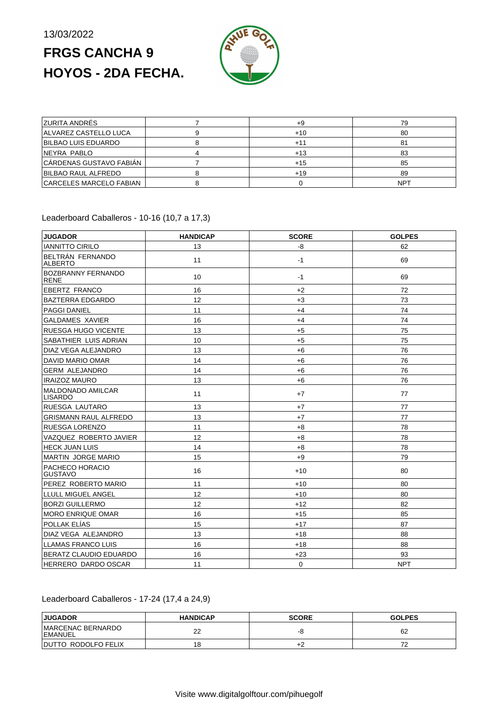# **FRGS CANCHA 9 HOYOS - 2DA FECHA.**



| <b>ZURITA ANDRÉS</b>    | $+9$  | 79  |
|-------------------------|-------|-----|
| ALVAREZ CASTELLO LUCA   | $+10$ | 80  |
| BILBAO LUIS EDUARDO     | +1:   |     |
| NEYRA PABLO             | $+13$ | 83  |
| CÁRDENAS GUSTAVO FABIÁN | $+15$ | 85  |
| BILBAO RAUL ALFREDO     | $+19$ | 89  |
| CARCELES MARCELO FABIAN |       | NPT |

### Leaderboard Caballeros - 10-16 (10,7 a 17,3)

| <b>JUGADOR</b>                             | <b>HANDICAP</b> | <b>SCORE</b> | <b>GOLPES</b> |
|--------------------------------------------|-----------------|--------------|---------------|
| <b>IANNITTO CIRILO</b>                     | 13              | -8           | 62            |
| BELTRÁN FERNANDO<br><b>ALBERTO</b>         | 11              | $-1$         | 69            |
| <b>BOZBRANNY FERNANDO</b><br><b>RENE</b>   | 10              | $-1$         | 69            |
| EBERTZ FRANCO                              | 16              | $+2$         | 72            |
| <b>BAZTERRA EDGARDO</b>                    | 12              | $+3$         | 73            |
| <b>PAGGI DANIEL</b>                        | 11              | $+4$         | 74            |
| <b>GALDAMES XAVIER</b>                     | 16              | $+4$         | 74            |
| <b>RUESGA HUGO VICENTE</b>                 | 13              | $+5$         | 75            |
| SABATHIER LUIS ADRIAN                      | 10              | $+5$         | 75            |
| <b>DIAZ VEGA ALEJANDRO</b>                 | 13              | $+6$         | 76            |
| DAVID MARIO OMAR                           | 14              | $+6$         | 76            |
| <b>GERM ALEJANDRO</b>                      | 14              | $+6$         | 76            |
| <b>IRAIZOZ MAURO</b>                       | 13              | $+6$         | 76            |
| <b>MALDONADO AMILCAR</b><br><b>LISARDO</b> | 11              | $+7$         | 77            |
| <b>RUESGA LAUTARO</b>                      | 13              | $+7$         | 77            |
| <b>GRISMANN RAUL ALFREDO</b>               | 13              | $+7$         | 77            |
| <b>RUESGA LORENZO</b>                      | 11              | $+8$         | 78            |
| VAZQUEZ ROBERTO JAVIER                     | 12              | $+8$         | 78            |
| <b>HECK JUAN LUIS</b>                      | 14              | $+8$         | 78            |
| <b>MARTIN JORGE MARIO</b>                  | 15              | $+9$         | 79            |
| PACHECO HORACIO<br><b>GUSTAVO</b>          | 16              | $+10$        | 80            |
| PEREZ ROBERTO MARIO                        | 11              | +10          | 80            |
| LLULL MIGUEL ANGEL                         | 12              | +10          | 80            |
| <b>BORZI GUILLERMO</b>                     | 12              | $+12$        | 82            |
| <b>MORO ENRIQUE OMAR</b>                   | 16              | $+15$        | 85            |
| <b>POLLAK ELÍAS</b>                        | 15              | $+17$        | 87            |
| DIAZ VEGA ALEJANDRO                        | 13              | +18          | 88            |
| LLAMAS FRANCO LUIS                         | 16              | $+18$        | 88            |
| BERATZ CLAUDIO EDUARDO                     | 16              | $+23$        | 93            |
| HERRERO DARDO OSCAR                        | 11              | $\mathbf 0$  | <b>NPT</b>    |

### Leaderboard Caballeros - 17-24 (17,4 a 24,9)

| <b>JUGADOR</b>                              | <b>HANDICAP</b> | <b>SCORE</b> | <b>GOLPES</b> |
|---------------------------------------------|-----------------|--------------|---------------|
| <b>IMARCENAC BERNARDO</b><br><b>EMANUEL</b> | 22              | --           | 62            |
| IDUTTO RODOLFO FELIX                        | 18              | $+2$         |               |